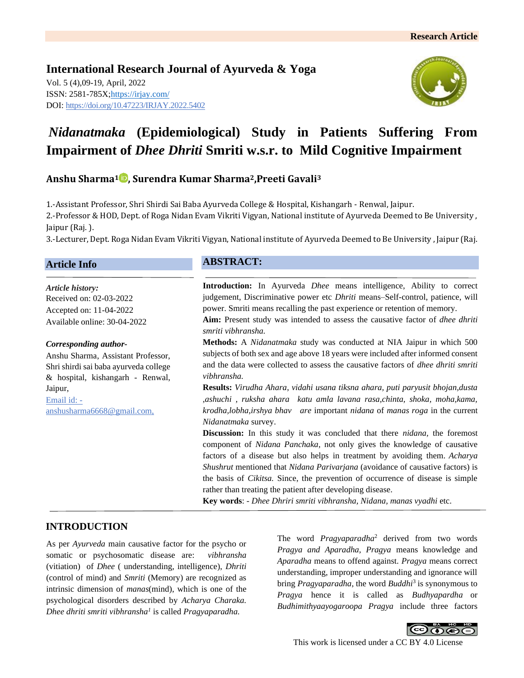**International Research Journal of Ayurveda & Yoga** Vol. 5 (4),09-19, April, 2022 ISSN: 2581-785X[; https://irjay.com/](https://irjay.com/) DOI: https://doi.org/10.47223/IRJAY.2022.5402



# *Nidanatmaka* **(Epidemiological) Study in Patients Suffering From Impairment of** *Dhee Dhriti* **Smriti w.s.r. to Mild Cognitive Impairment**

# **Anshu Sharma<sup>1</sup> , Surendra Kumar Sharma2,Preeti Gavali<sup>3</sup>**

1.-Assistant Professor, Shri Shirdi Sai Baba Ayurveda College & Hospital, Kishangarh - Renwal, Jaipur. 2.-Professor & HOD, Dept. of Roga Nidan Evam Vikriti Vigyan, National institute of Ayurveda Deemed to Be University , Jaipur (Raj. ).

3.-Lecturer, Dept. Roga Nidan Evam Vikriti Vigyan, National institute of Ayurveda Deemed to Be University , Jaipur (Raj.

#### **Article Info**

*Article history:* Received on: 02-03-2022 Accepted on: 11-04-2022 Available online: 30-04-2022

#### *Corresponding author-*

Anshu Sharma, Assistant Professor, Shri shirdi sai baba ayurveda college & hospital, kishangarh - Renwal, Jaipur, Email id: -

anshusharma6668@gmail.com,

### **ABSTRACT:**

**Introduction:** In Ayurveda *Dhee* means intelligence, Ability to correct judgement, Discriminative power etc *Dhriti* means–Self-control, patience, will power. Smriti means recalling the past experience or retention of memory.

**Aim:** Present study was intended to assess the causative factor of *dhee dhriti smriti vibhransha.*

**Methods:** A *Nidanatmaka* study was conducted at NIA Jaipur in which 500 subjects of both sex and age above 18 years were included after informed consent and the data were collected to assess the causative factors of *dhee dhriti smriti vibhransha.*

**Results:** *Virudha Ahara*, *vidahi usana tiksna ahara, puti paryusit bhojan,dusta ,ashuchi , ruksha ahara katu amla lavana rasa,chinta, shoka, moha,kama, krodha,lobha,irshya bhav are* important *nidana* of *manas roga* in the current *Nidanatmaka* survey.

**Discussion:** In this study it was concluded that there *nidana,* the foremost component of *Nidana Panchaka*, not only gives the knowledge of causative factors of a disease but also helps in treatment by avoiding them. *Acharya Shushrut* mentioned that *Nidana Parivarjana* (avoidance of causative factors) is the basis of *Cikitsa.* Since, the prevention of occurrence of disease is simple rather than treating the patient after developing disease.

**Key words**: - *Dhee Dhriri smriti vibhransha, Nidana, manas vyadhi* etc.

# **INTRODUCTION**

As per *Ayurveda* main causative factor for the psycho or somatic or psychosomatic disease are: *vibhransha* (vitiation) of *Dhee* ( understanding, intelligence), *Dhriti* (control of mind) and *Smriti* (Memory) are recognized as intrinsic dimension of *manas*(mind), which is one of the psychological disorders described by *Acharya Charaka. Dhee dhriti smriti vibhransha<sup>1</sup>* is called *Pragyaparadha.* 

The word *Pragyaparadha*<sup>2</sup> derived from two words *Pragya and Aparadha, Pragya* means knowledge and *Aparadha* means to offend against. *Pragya* means correct understanding, improper understanding and ignorance will bring *Pragyaparadha*, the word *Buddhi*<sup>3</sup> is synonymous to *Pragya* hence it is called as *Budhyapardha* or *Budhimithyaayogaroopa Pragya* include three factors

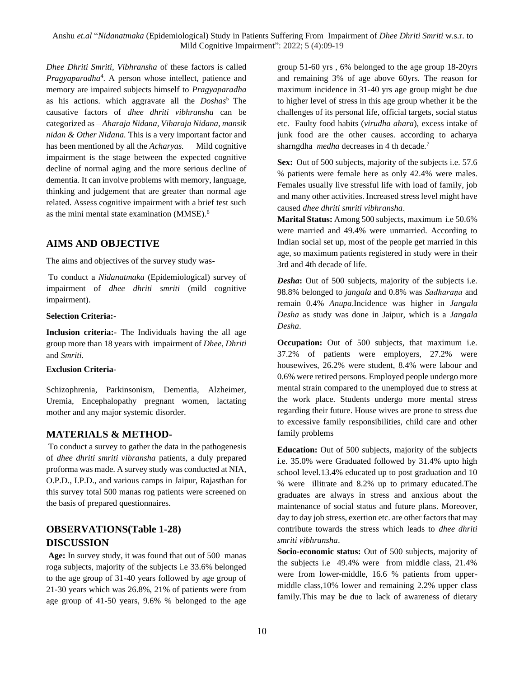*Dhee Dhriti Smriti, Vibhransha* of these factors is called *Pragyaparadha*<sup>4</sup> . A person whose intellect, patience and memory are impaired subjects himself to *Pragyaparadha* as his actions. which aggravate all the *Doshas*<sup>5</sup> The causative factors of *dhee dhriti vibhransha* can be categorized as – *Aharaja Nidana, Viharaja Nidana, mansik nidan & Other Nidana.* This is a very important factor and has been mentioned by all the *Acharyas.* Mild cognitive impairment is the stage between the expected cognitive decline of normal aging and the more serious decline of dementia. It can involve problems with memory, language, thinking and judgement that are greater than normal age related. Assess cognitive impairment with a brief test such as the mini mental state examination (MMSE).<sup>6</sup>

### **AIMS AND OBJECTIVE**

The aims and objectives of the survey study was-

To conduct a *Nidanatmaka* (Epidemiological) survey of impairment of *dhee dhriti smriti* (mild cognitive impairment).

#### **Selection Criteria:-**

**Inclusion criteria:-** The Individuals having the all age group more than 18 years with impairment of *Dhee, Dhriti* and *Smriti*.

### **Exclusion Criteria-**

Schizophrenia, Parkinsonism, Dementia, Alzheimer, Uremia, Encephalopathy pregnant women, lactating mother and any major systemic disorder.

### **MATERIALS & METHOD-**

To conduct a survey to gather the data in the pathogenesis of *dhee dhriti smriti vibransha* patients, a duly prepared proforma was made. A survey study was conducted at NIA, O.P.D., I.P.D., and various camps in Jaipur, Rajasthan for this survey total 500 manas rog patients were screened on the basis of prepared questionnaires.

# **OBSERVATIONS(Table 1-28) DISCUSSION**

**Age:** In survey study, it was found that out of 500 manas roga subjects, majority of the subjects i.e 33.6% belonged to the age group of 31-40 years followed by age group of 21-30 years which was 26.8%, 21% of patients were from age group of 41-50 years, 9.6% % belonged to the age

group 51-60 yrs , 6% belonged to the age group 18-20yrs and remaining 3% of age above 60yrs. The reason for maximum incidence in 31-40 yrs age group might be due to higher level of stress in this age group whether it be the challenges of its personal life, official targets, social status etc. Faulty food habits (*virudha ahara*), excess intake of junk food are the other causes. according to acharya sharngdha *medha* decreases in 4 th decade.<sup>7</sup>

**Sex:** Out of 500 subjects, majority of the subjects i.e. 57.6 % patients were female here as only 42.4% were males. Females usually live stressful life with load of family, job and many other activities. Increased stress level might have caused *dhee dhriti smriti vibhransha*.

**Marital Status:** Among 500 subjects, maximum i.e 50.6% were married and 49.4% were unmarried. According to Indian social set up, most of the people get married in this age, so maximum patients registered in study were in their 3rd and 4th decade of life.

*Desha***:** Out of 500 subjects, majority of the subjects i.e. 98.8% belonged to *jangala* and 0.8% was *Sadharaṇa* and remain 0.4% *Anupa*.Incidence was higher in *Jangala Desha* as study was done in Jaipur, which is a *Jangala Desha*.

**Occupation:** Out of 500 subjects, that maximum i.e. 37.2% of patients were employers, 27.2% were housewives, 26.2% were student, 8.4% were labour and 0.6% were retired persons. Employed people undergo more mental strain compared to the unemployed due to stress at the work place. Students undergo more mental stress regarding their future. House wives are prone to stress due to excessive family responsibilities, child care and other family problems

**Education:** Out of 500 subjects, majority of the subjects i.e. 35.0% were Graduated followed by 31.4% upto high school level.13.4% educated up to post graduation and 10 % were illitrate and 8.2% up to primary educated.The graduates are always in stress and anxious about the maintenance of social status and future plans. Moreover, day to day job stress, exertion etc. are other factors that may contribute towards the stress which leads to *dhee dhriti smriti vibhransha*.

**Socio-economic status:** Out of 500 subjects, majority of the subjects i.e 49.4% were from middle class, 21.4% were from lower-middle, 16.6 % patients from uppermiddle class,10% lower and remaining 2.2% upper class family.This may be due to lack of awareness of dietary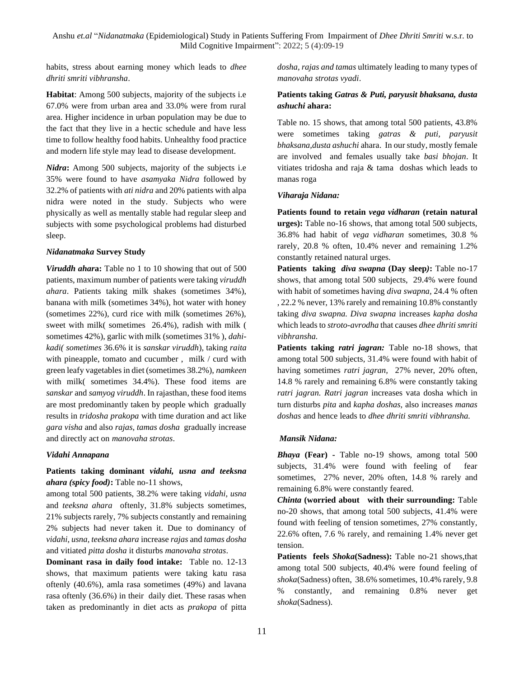habits, stress about earning money which leads to *dhee dhriti smriti vibhransha*.

**Habitat**: Among 500 subjects, majority of the subjects i.e 67.0% were from urban area and 33.0% were from rural area. Higher incidence in urban population may be due to the fact that they live in a hectic schedule and have less time to follow healthy food habits. Unhealthy food practice and modern life style may lead to disease development.

*Nidra***:** Among 500 subjects, majority of the subjects i.e 35% were found to have *asamyaka Nidra* followed by 32.2% of patients with *ati nidra* and 20% patients with alpa nidra were noted in the study. Subjects who were physically as well as mentally stable had regular sleep and subjects with some psychological problems had disturbed sleep.

#### *Nidanatmaka* **Survey Study**

*Viruddh ahar***a:** Table no 1 to 10 showing that out of 500 patients, maximum number of patients were taking *viruddh ahara*. Patients taking milk shakes (sometimes 34%), banana with milk (sometimes 34%), hot water with honey (sometimes 22%), curd rice with milk (sometimes 26%), sweet with milk( sometimes 26.4%), radish with milk ( sometimes 42%), garlic with milk (sometimes 31% ), *dahikadi( sometimes* 36.6% it is *sanskar viruddh*)*,* taking *raita* with pineapple, tomato and cucumber, milk / curd with green leafy vagetables in diet (sometimes 38.2%), *namkeen* with milk( sometimes 34.4%). These food items are *sanskar* and *samyog viruddh*. In rajasthan, these food items are most predominantly taken by people which gradually results in *tridosha prakopa* with time duration and act like *gara visha* and also *rajas, tamas dosha* gradually increase and directly act on *manovaha strotas*.

#### *Vidahi Annapana*

### **Patients taking dominant** *vidahi, usna and teeksna ahara (spicy food)***:** Table no-11 shows,

among total 500 patients, 38.2% were taking *vidahi, usna* and *teeksna ahara* oftenly, 31.8% subjects sometimes, 21% subjects rarely, 7% subjects constantly and remaining 2% subjects had never taken it. Due to dominancy of *vidahi, usna, teeksna ahara* increase *rajas* and *tamas dosha* and vitiated *pitta dosha* it disturbs *manovaha strotas*.

**Dominant rasa in daily food intake:** Table no. 12-13 shows, that maximum patients were taking katu rasa oftenly (40.6%), amla rasa sometimes (49%) and lavana rasa oftenly (36.6%) in their daily diet. These rasas when taken as predominantly in diet acts as *prakopa* of pitta *dosha, rajas and tamas* ultimately leading to many types of *manovaha strotas vyadi*.

### **Patients taking** *Gatras & Puti, paryusit bhaksana, dusta ashuchi* **ahara:**

Table no. 15 shows, that among total 500 patients, 43.8% were sometimes taking *gatras & puti, paryusit bhaksana,dusta ashuchi* ahara. In our study, mostly female are involved and females usually take *basi bhojan*. It vitiates tridosha and raja & tama doshas which leads to manas roga

#### *Viharaja Nidana:*

**Patients found to retain** *vega vidharan* **(retain natural urges):** Table no-16 shows, that among total 500 subjects, 36.8% had habit of *vega vidharan* sometimes, 30.8 % rarely, 20.8 % often, 10.4% never and remaining 1.2% constantly retained natural urges.

**Patients taking** *diva swapna* **(Day sleep***)***:** Table no-17 shows, that among total 500 subjects, 29.4% were found with habit of sometimes having *diva swapna,* 24.4 % often , 22.2 % never, 13% rarely and remaining 10.8% constantly taking *diva swapna. Diva swapna* increases *kapha dosha* which leads to *stroto-avrodha* that causes *dhee dhriti smriti vibhransha.*

**Patients taking** *ratri jagran:* Table no-18 shows, that among total 500 subjects, 31.4% were found with habit of having sometimes *ratri jagran,* 27% never, 20% often, 14.8 % rarely and remaining 6.8% were constantly taking *ratri jagran. Ratri jagran* increases vata dosha which in turn disturbs *pita* and *kapha doshas,* also increases *manas doshas* and hence leads to *dhee dhriti smriti vibhransha.*

#### *Mansik Nidana:*

*Bhaya* **(Fear) -** Table no-19 shows, among total 500 subjects, 31.4% were found with feeling of fear sometimes, 27% never, 20% often, 14.8 % rarely and remaining 6.8% were constantly feared.

*Chinta* **(worried about with their surrounding:** Table no-20 shows, that among total 500 subjects, 41.4% were found with feeling of tension sometimes, 27% constantly, 22.6% often, 7.6 % rarely, and remaining 1.4% never get tension.

**Patients feels** *Shoka***(Sadness):** Table no-21 shows,that among total 500 subjects, 40.4% were found feeling of *shoka*(Sadness) often, 38.6% sometimes, 10.4% rarely, 9.8 % constantly, and remaining 0.8% never get *shoka*(Sadness).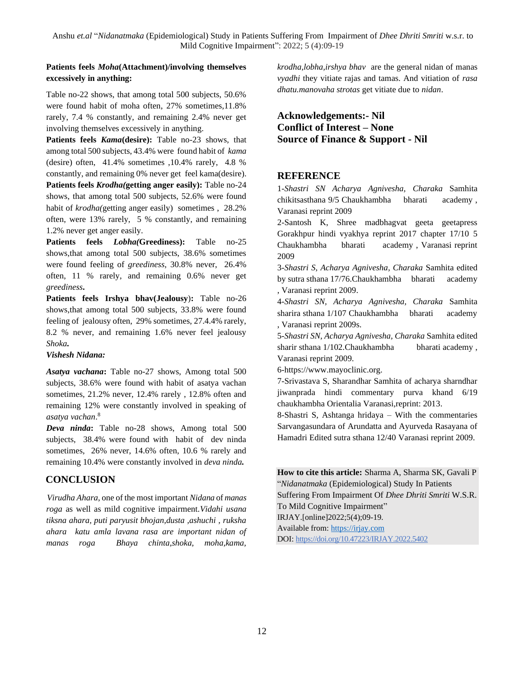### **Patients feels** *Moha***(Attachment)/involving themselves excessively in anything:**

Table no-22 shows, that among total 500 subjects, 50.6% were found habit of moha often, 27% sometimes,11.8% rarely, 7.4 % constantly, and remaining 2.4% never get involving themselves excessively in anything.

**Patients feels** *Kama***(desire):** Table no-23 shows, that among total 500 subjects, 43.4% were found habit of *kama* (desire) often, 41.4% sometimes ,10.4% rarely, 4.8 % constantly, and remaining 0% never get feel kama(desire). **Patients feels** *Krodha(***getting anger easily):** Table no-24 shows, that among total 500 subjects, 52.6% were found habit of *krodha(*getting anger easily) sometimes , 28.2% often, were 13% rarely, 5 % constantly, and remaining 1.2% never get anger easily.

**Patients feels** *Lobha(***Greediness):** Table no-25 shows,that among total 500 subjects, 38.6% sometimes were found feeling of *greediness*, 30.8% never, 26.4% often, 11 % rarely, and remaining 0.6% never get *greediness***.**

**Patients feels Irshya bhav(Jealousy**)**:** Table no-26 shows,that among total 500 subjects, 33.8% were found feeling of jealousy often, 29% sometimes, 27.4.4% rarely, 8.2 % never, and remaining 1.6% never feel jealousy *Shoka.*

*Vishesh Nidana:*

*Asatya vachana***:** Table no-27 shows, Among total 500 subjects, 38.6% were found with habit of asatya vachan sometimes, 21.2% never, 12.4% rarely , 12.8% often and remaining 12% were constantly involved in speaking of *asatya vachan*. 8

*Deva ninda***:** Table no-28 shows, Among total 500 subjects, 38.4% were found with habit of dev ninda sometimes, 26% never, 14.6% often, 10.6 % rarely and remaining 10.4% were constantly involved in *deva ninda.*

# **CONCLUSION**

 *Virudha Ahara*, one of the most important *Nidana* of *manas roga* as well as mild cognitive impairment.*Vidahi usana tiksna ahara, puti paryusit bhojan,dusta ,ashuchi , ruksha ahara katu amla lavana rasa are important nidan of manas roga Bhaya chinta,shoka, moha,kama,* 

*krodha,lobha,irshya bhav* are the general nidan of manas *vyadhi* they vitiate rajas and tamas. And vitiation of *rasa dhatu.manovaha strotas* get vitiate due to *nidan*.

# **Acknowledgements:- Nil Conflict of Interest – None Source of Finance & Support - Nil**

# **REFERENCE**

1*-Shastri SN Acharya Agnivesha, Charaka* Samhita chikitsasthana 9/5 Chaukhambha bharati academy , Varanasi reprint 2009

2-Santosh K, Shree madbhagvat geeta geetapress Gorakhpur hindi vyakhya reprint 2017 chapter 17/10 5 Chaukhambha bharati academy , Varanasi reprint 2009

3-*Shastri S, Acharya Agnivesha, Charaka* Samhita edited by sutra sthana 17/76.Chaukhambha bharati academy , Varanasi reprint 2009.

4-*Shastri SN, Acharya Agnivesha, Charaka* Samhita sharira sthana 1/107 Chaukhambha bharati academy , Varanasi reprint 2009s.

5-*Shastri SN, Acharya Agnivesha, Charaka* Samhita edited sharir sthana 1/102.Chaukhambha bharati academy , Varanasi reprint 2009.

6[-https://www.mayoclinic.org.](https://www.mayoclinic.org/)

7-Srivastava S, Sharandhar Samhita of acharya sharndhar jiwanprada hindi commentary purva khand 6/19 chaukhambha Orientalia Varanasi,reprint: 2013.

8-Shastri S, Ashtanga hridaya – With the commentaries Sarvangasundara of Arundatta and Ayurveda Rasayana of Hamadri Edited sutra sthana 12/40 Varanasi reprint 2009.

# **How to cite this article:** Sharma A, Sharma SK, Gavali P "*Nidanatmaka* (Epidemiological) Study In Patients Suffering From Impairment Of *Dhee Dhriti Smriti* W.S.R. To Mild Cognitive Impairment" IRJAY.[online]2022;5(4);09-19. Available from: [https://irjay.com](https://irjay.com/)

DOI: https://doi.org/10.47223/IRJAY.2022.5402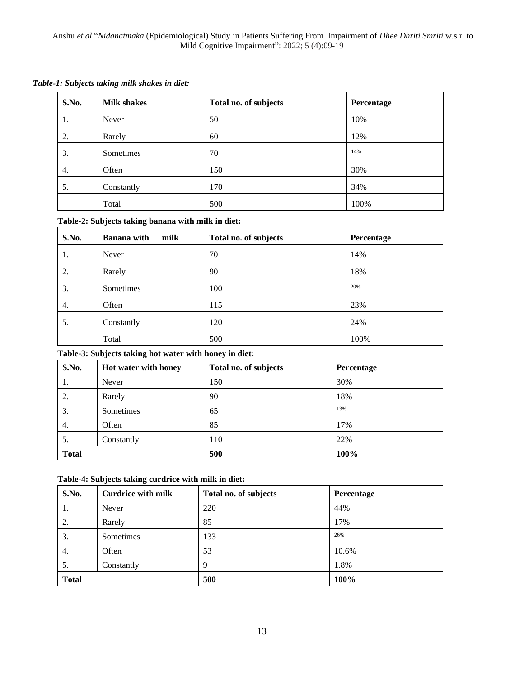| <b>Milk shakes</b> | Total no. of subjects | Percentage |
|--------------------|-----------------------|------------|
| Never              | 50                    | 10%        |
| Rarely             | 60                    | 12%        |
| Sometimes          | 70                    | 14%        |
| Often              | 150                   | 30%        |
| Constantly         | 170                   | 34%        |
|                    |                       |            |

Total 100% and 100%

### *Table-1: Subjects taking milk shakes in diet:*

# **Table-2: Subjects taking banana with milk in diet:**

| S.No. | <b>Banana</b> with<br>milk | Total no. of subjects | Percentage |
|-------|----------------------------|-----------------------|------------|
| 1.    | Never                      | 70                    | 14%        |
| 2.    | Rarely                     | 90                    | 18%        |
| 3.    | Sometimes                  | 100                   | 20%        |
| 4.    | Often                      | 115                   | 23%        |
| 5.    | Constantly                 | 120                   | 24%        |
|       | Total                      | 500                   | 100%       |

### **Table-3: Subjects taking hot water with honey in diet:**

| S.No.        | Hot water with honey | Total no. of subjects | Percentage |
|--------------|----------------------|-----------------------|------------|
| 1.           | Never                | 150                   | 30%        |
| 2.           | Rarely               | 90                    | 18%        |
| 3.           | Sometimes            | 65                    | 13%        |
| 4.           | Often                | 85                    | 17%        |
| 5.           | Constantly           | 110                   | 22%        |
| <b>Total</b> |                      | 500                   | 100%       |

### **Table-4: Subjects taking curdrice with milk in diet:**

| S.No.        | <b>Curdrice with milk</b> | Total no. of subjects | Percentage |
|--------------|---------------------------|-----------------------|------------|
| 1.           | Never                     | 220                   | 44%        |
| 2.           | Rarely                    | 85                    | 17%        |
| 3.           | Sometimes                 | 133                   | 26%        |
| 4.           | Often                     | 53                    | 10.6%      |
| 5.           | Constantly                | 9                     | 1.8%       |
| <b>Total</b> |                           | 500                   | 100%       |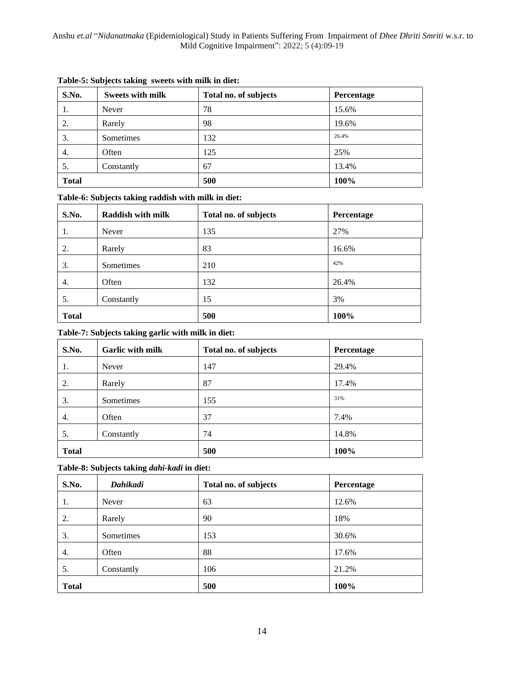| S.No.        | <b>Sweets with milk</b> | Total no. of subjects | Percentage |
|--------------|-------------------------|-----------------------|------------|
| 1.           | Never                   | 78                    | 15.6%      |
| 2.           | Rarely                  | 98                    | 19.6%      |
| 3.           | Sometimes               | 132                   | 26.4%      |
| 4.           | Often                   | 125                   | 25%        |
| 5.           | Constantly              | 67                    | 13.4%      |
| <b>Total</b> |                         | 500                   | 100%       |

### **Table-5: Subjects taking sweets with milk in diet:**

### **Table-6: Subjects taking raddish with milk in diet:**

| S.No.        | <b>Raddish with milk</b> | Total no. of subjects | Percentage |
|--------------|--------------------------|-----------------------|------------|
| 1.           | Never                    | 135                   | 27%        |
| 2.           | Rarely                   | 83                    | 16.6%      |
| 3.           | Sometimes                | 210                   | 42%        |
| 4.           | Often                    | 132                   | 26.4%      |
| 5.           | Constantly               | 15                    | 3%         |
| <b>Total</b> |                          | 500                   | 100%       |

### **Table-7: Subjects taking garlic with milk in diet:**

| S.No.        | Garlic with milk | Total no. of subjects | Percentage |
|--------------|------------------|-----------------------|------------|
| 1.           | Never            | 147                   | 29.4%      |
| 2.           | Rarely           | 87                    | 17.4%      |
| 3.           | Sometimes        | 155                   | 31%        |
| 4.           | Often            | 37                    | 7.4%       |
| 5.           | Constantly       | 74                    | 14.8%      |
| <b>Total</b> |                  | 500                   | 100%       |

### **Table-8: Subjects taking** *dahi-kadi* **in diet:**

| S.No.        | Dahikadi   | Total no. of subjects | Percentage |
|--------------|------------|-----------------------|------------|
| 1.           | Never      | 63                    | 12.6%      |
| 2.           | Rarely     | 90                    | 18%        |
| 3.           | Sometimes  | 153                   | 30.6%      |
| 4.           | Often      | 88                    | 17.6%      |
| 5.           | Constantly | 106                   | 21.2%      |
| <b>Total</b> |            | 500                   | 100%       |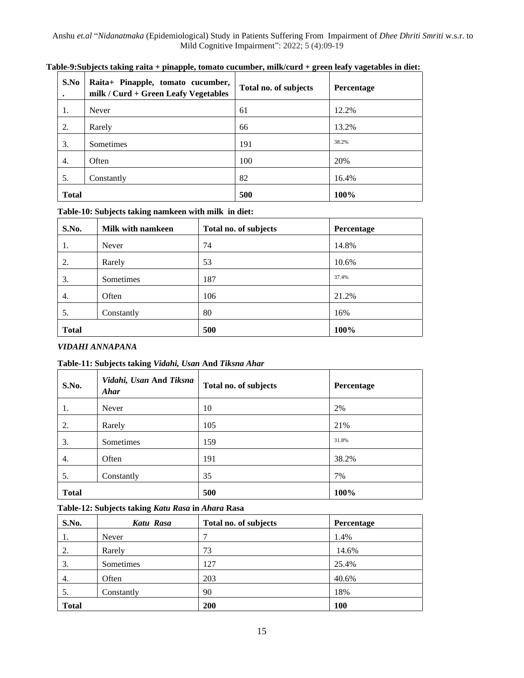| S.No         | Raita+ Pinapple, tomato cucumber,<br>milk / Curd + Green Leafy Vegetables | Total no. of subjects | Percentage |
|--------------|---------------------------------------------------------------------------|-----------------------|------------|
| 1.           | Never                                                                     | 61                    | 12.2%      |
| 2.           | Rarely                                                                    | 66                    | 13.2%      |
| 3.           | Sometimes                                                                 | 191                   | 38.2%      |
| 4.           | Often                                                                     | 100                   | 20%        |
| 5.           | Constantly                                                                | 82                    | 16.4%      |
| <b>Total</b> |                                                                           | 500                   | 100%       |

**Table-9:Subjects taking raita + pinapple, tomato cucumber, milk/curd + green leafy vagetables in diet:**

### **Table-10: Subjects taking namkeen with milk in diet:**

| S.No.        | Milk with namkeen | Total no. of subjects | Percentage |
|--------------|-------------------|-----------------------|------------|
| 1.           | Never             | 74                    | 14.8%      |
| 2.           | Rarely            | 53                    | 10.6%      |
| 3.           | Sometimes         | 187                   | 37.4%      |
| 4.           | Often             | 106                   | 21.2%      |
| 5.           | Constantly        | 80                    | 16%        |
| <b>Total</b> |                   | 500                   | 100%       |

### *VIDAHI ANNAPANA*

### **Table-11: Subjects taking** *Vidahi, Usan* **And** *Tiksna Ahar*

| S.No.        | Vidahi, Usan And Tiksna<br>Ahar | Total no. of subjects | Percentage |
|--------------|---------------------------------|-----------------------|------------|
| 1.           | Never                           | 10                    | 2%         |
| 2.           | Rarely                          | 105                   | 21%        |
| 3.           | Sometimes                       | 159                   | 31.8%      |
| 4.           | Often                           | 191                   | 38.2%      |
| 5.           | Constantly                      | 35                    | 7%         |
| <b>Total</b> |                                 | 500                   | 100%       |

### **Table-12: Subjects taking** *Katu Rasa* **in** *Ahara* **Rasa**

| S.No.        | Katu Rasa  | Total no. of subjects | Percentage |
|--------------|------------|-----------------------|------------|
| 1.           | Never      | 7                     | 1.4%       |
| 2.           | Rarely     | 73                    | 14.6%      |
| 3.           | Sometimes  | 127                   | 25.4%      |
| 4.           | Often      | 203                   | 40.6%      |
| 5.           | Constantly | 90                    | 18%        |
| <b>Total</b> |            | 200                   | 100        |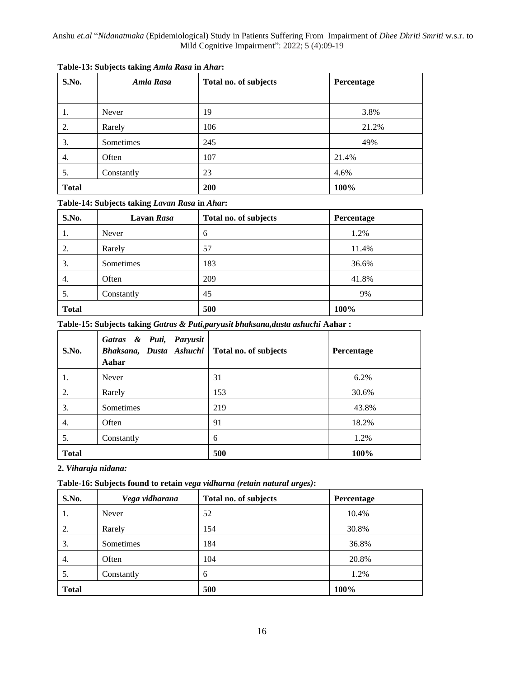| S.No.        | Amla Rasa  | Total no. of subjects |       |
|--------------|------------|-----------------------|-------|
|              |            |                       |       |
| 1.           | Never      | 19                    | 3.8%  |
| 2.           | Rarely     | 106                   | 21.2% |
| 3.           | Sometimes  | 245                   | 49%   |
| 4.           | Often      | 107                   | 21.4% |
| 5.           | Constantly | 23                    | 4.6%  |
| <b>Total</b> |            | 200                   | 100%  |

### **Table-14: Subjects taking** *Lavan Rasa* **in** *Ahar***:**

| S.No.        | <b>Lavan Rasa</b> | Total no. of subjects | Percentage |  |
|--------------|-------------------|-----------------------|------------|--|
| 1.           | Never             | 6                     | 1.2%       |  |
| 2.           | Rarely            | 57                    | 11.4%      |  |
| 3.           | Sometimes         | 183                   | 36.6%      |  |
| 4.           | Often             | 209                   | 41.8%      |  |
| 5.           | Constantly        | 45                    | 9%         |  |
| <b>Total</b> |                   | 500                   | 100%       |  |

**Table-15: Subjects taking** *Gatras & Puti,paryusit bhaksana,dusta ashuchi* **Aahar :**

| S.No.        | Gatras & Puti, Paryusit<br>Bhaksana, Dusta Ashuchi   Total no. of subjects<br>Aahar |     | Percentage |
|--------------|-------------------------------------------------------------------------------------|-----|------------|
| 1.           | Never                                                                               | 31  | 6.2%       |
| 2.           | Rarely                                                                              | 153 | 30.6%      |
| 3.           | Sometimes                                                                           | 219 | 43.8%      |
| 4.           | Often                                                                               | 91  | 18.2%      |
| 5.           | Constantly                                                                          | 6   | 1.2%       |
| <b>Total</b> |                                                                                     | 500 | 100%       |

**2.** *Viharaja nidana:*

**Table-16: Subjects found to retain** *vega vidharna (retain natural urges)***:**

| S.No.        | Vega vidharana | Total no. of subjects | Percentage |
|--------------|----------------|-----------------------|------------|
| 1.           | Never          | 52                    | 10.4%      |
| 2.           | Rarely         | 154                   | 30.8%      |
| 3.           | Sometimes      | 184                   | 36.8%      |
| 4.           | Often          | 104                   | 20.8%      |
| 5.           | Constantly     | 6                     | 1.2%       |
| <b>Total</b> |                | 500                   | 100%       |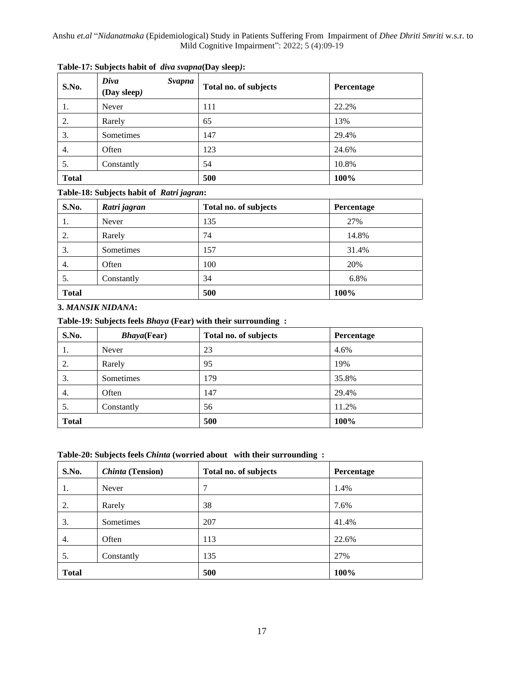| S.No.        | Diva<br>Svapna<br>(Day sleep) | Total no. of subjects | <b>Percentage</b> |
|--------------|-------------------------------|-----------------------|-------------------|
| 1.           | Never                         | 111                   | 22.2%             |
| 2.           | Rarely                        | 65                    | 13%               |
| 3.           | Sometimes                     | 147                   | 29.4%             |
| 4.           | Often                         | 123                   | 24.6%             |
| 5.           | Constantly                    | 54                    | 10.8%             |
| <b>Total</b> |                               | 500                   | 100%              |

**Table-17: Subjects habit of** *diva svapna***(Day sleep***)***:**

### **Table-18: Subjects habit of** *Ratri jagran***:**

| S.No.        | Ratri jagran | Total no. of subjects | Percentage |
|--------------|--------------|-----------------------|------------|
| -1.          | Never        | 135                   | 27%        |
| 2.           | Rarely       | 74                    | 14.8%      |
| 3.           | Sometimes    | 157                   | 31.4%      |
| 4.           | Often        | 100                   | 20%        |
| 5.           | Constantly   | 34                    | 6.8%       |
| <b>Total</b> |              | 500                   | 100%       |

**3.** *MANSIK NIDANA***:**

**Table-19: Subjects feels** *Bhaya* **(Fear) with their surrounding :**

| S.No.        | <b>Bhaya(Fear)</b> | Total no. of subjects | Percentage |
|--------------|--------------------|-----------------------|------------|
| 1.           | Never              | 23                    | 4.6%       |
| 2.           | Rarely             | 95                    | 19%        |
| 3.           | Sometimes          | 179                   | 35.8%      |
| 4.           | Often              | 147                   | 29.4%      |
| 5.           | Constantly         | 56                    | 11.2%      |
| <b>Total</b> |                    | 500                   | 100%       |

#### **Table-20: Subjects feels** *Chinta* **(worried about with their surrounding :**

| S.No.        | <b>Chinta</b> (Tension) | Total no. of subjects | Percentage |  |
|--------------|-------------------------|-----------------------|------------|--|
| 1.           | Never                   | 7                     | 1.4%       |  |
| 2.           | Rarely                  | 38                    | 7.6%       |  |
| 3.           | Sometimes               | 207                   | 41.4%      |  |
| 4.           | Often                   | 113                   | 22.6%      |  |
| 5.           | Constantly              | 135                   | 27%        |  |
| <b>Total</b> |                         | 500                   | 100%       |  |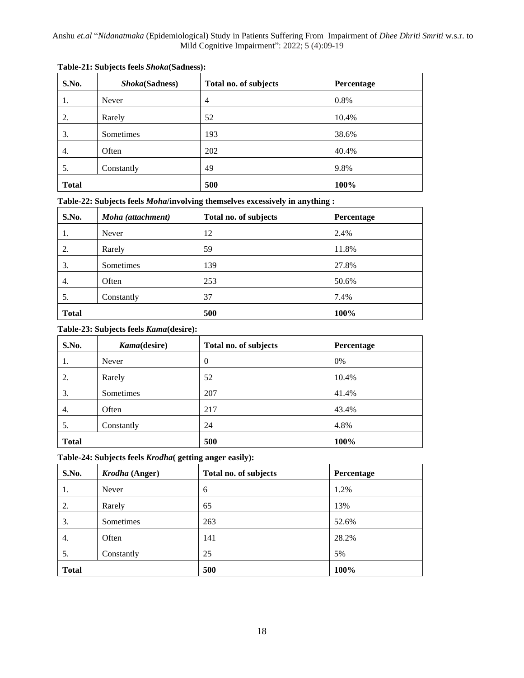| S.No.        | Shoka(Sadness) | Total no. of subjects | Percentage |  |
|--------------|----------------|-----------------------|------------|--|
| 1.           | Never          | $\overline{4}$        | 0.8%       |  |
| 2.           | Rarely         | 52                    | 10.4%      |  |
| 3.           | Sometimes      | 193                   | 38.6%      |  |
| 4.           | Often          | 202                   | 40.4%      |  |
| 5.           | Constantly     | 49                    | 9.8%       |  |
| <b>Total</b> |                | 500                   | 100%       |  |

|  | Table-22: Subjects feels Moha/involving themselves excessively in anything : |  |  |
|--|------------------------------------------------------------------------------|--|--|
|  |                                                                              |  |  |

| S.No.        | Moha (attachment) | Total no. of subjects | Percentage |
|--------------|-------------------|-----------------------|------------|
| 1.           | Never             | 12                    | 2.4%       |
| 2.           | Rarely            | 59                    | 11.8%      |
| 3.           | Sometimes         | 139                   | 27.8%      |
| 4.           | Often             | 253                   | 50.6%      |
| 5.           | Constantly        | 37                    | 7.4%       |
| <b>Total</b> |                   | 500                   | 100%       |

### **Table-23: Subjects feels** *Kama***(desire):**

| S.No.        | Kama(desire) | Total no. of subjects | Percentage |
|--------------|--------------|-----------------------|------------|
| 1.           | Never        | $\theta$              | 0%         |
| 2.           | Rarely       | 52                    | 10.4%      |
| 3.           | Sometimes    | 207                   | 41.4%      |
| 4.           | Often        | 217                   | 43.4%      |
| 5.           | Constantly   | 24                    | 4.8%       |
| <b>Total</b> |              | 500                   | 100%       |

**Table-24: Subjects feels** *Krodha***( getting anger easily):**

| S.No.        | <i>Krodha</i> (Anger) | Total no. of subjects | Percentage |
|--------------|-----------------------|-----------------------|------------|
| 1.           | Never                 | 6                     | 1.2%       |
| 2.           | Rarely                | 65                    | 13%        |
| 3.           | Sometimes             | 263                   | 52.6%      |
| 4.           | Often                 | 141                   | 28.2%      |
| 5.           | Constantly            | 25                    | 5%         |
| <b>Total</b> |                       | 500                   | 100%       |